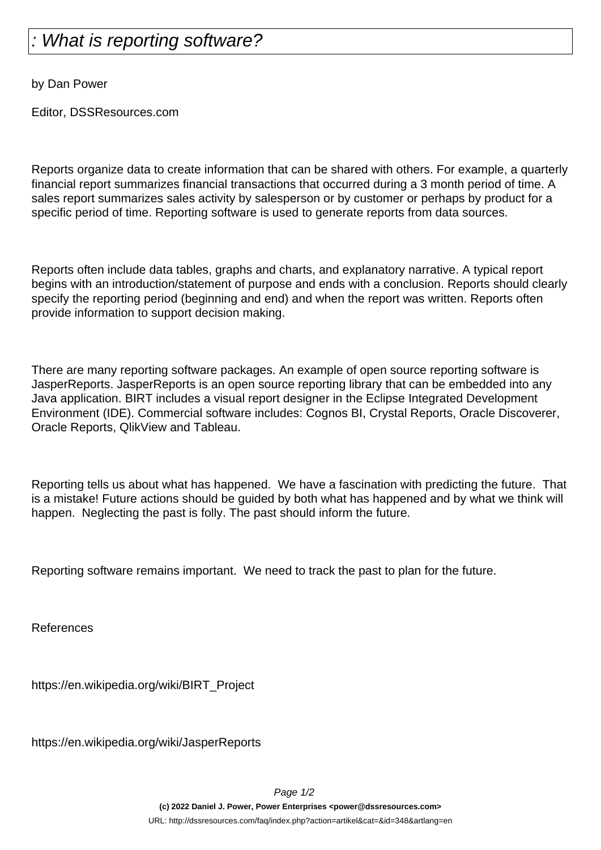## What is reporting software?

by Dan Power

Editor, DSSResources.com

Reports organize data to create information that can be shared with others. For example, a quarterly financial report summarizes financial transactions that occurred during a 3 month period of time. A sales report summarizes sales activity by salesperson or by customer or perhaps by product for a specific period of time. Reporting software is used to generate reports from data sources.

Reports often include data tables, graphs and charts, and explanatory narrative. A typical report begins with an introduction/statement of purpose and ends with a conclusion. Reports should clearly specify the reporting period (beginning and end) and when the report was written. Reports often provide information to support decision making.

There are many reporting software packages. An example of open source reporting software is JasperReports. JasperReports is an open source reporting library that can be embedded into any Java application. BIRT includes a visual report designer in the Eclipse Integrated Development Environment (IDE). Commercial software includes: Cognos BI, Crystal Reports, Oracle Discoverer, Oracle Reports, QlikView and Tableau.

Reporting tells us about what has happened. We have a fascination with predicting the future. That is a mistake! Future actions should be guided by both what has happened and by what we think will happen. Neglecting the past is folly. The past should inform the future.

Reporting software remains important. We need to track the past to plan for the future.

References

https://en.wikipedia.org/wiki/BIRT\_Project

https://en.wikipedia.org/wiki/JasperReports